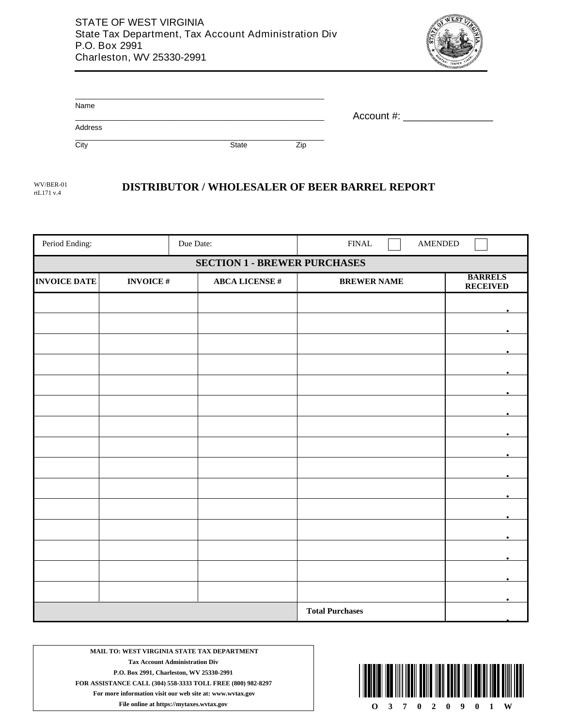

| Name    |       |     |            |
|---------|-------|-----|------------|
| Address |       |     | Account #: |
| City    | State | Zip |            |

rtL171 v.4

## WV/BER-01 **DISTRIBUTOR / WHOLESALER OF BEER BARREL REPORT**

| Period Ending:                      |                 | Due Date:             | ${\rm FINAL}$      | <b>AMENDED</b>                    |  |
|-------------------------------------|-----------------|-----------------------|--------------------|-----------------------------------|--|
| <b>SECTION 1 - BREWER PURCHASES</b> |                 |                       |                    |                                   |  |
| <b>INVOICE DATE</b>                 | <b>INVOICE#</b> | <b>ABCA LICENSE #</b> | <b>BREWER NAME</b> | <b>BARRELS</b><br><b>RECEIVED</b> |  |
|                                     |                 |                       |                    |                                   |  |
|                                     |                 |                       |                    |                                   |  |
|                                     |                 |                       |                    |                                   |  |
|                                     |                 |                       |                    |                                   |  |
|                                     |                 |                       |                    |                                   |  |
|                                     |                 |                       |                    |                                   |  |
|                                     |                 |                       |                    |                                   |  |
|                                     |                 |                       |                    |                                   |  |
|                                     |                 |                       |                    |                                   |  |
|                                     |                 |                       |                    |                                   |  |
|                                     |                 |                       |                    |                                   |  |
|                                     |                 |                       |                    |                                   |  |
|                                     |                 |                       |                    |                                   |  |
|                                     |                 |                       |                    |                                   |  |
|                                     |                 |                       |                    |                                   |  |
|                                     |                 |                       |                    |                                   |  |

**MAIL TO: WEST VIRGINIA STATE TAX DEPARTMENT Tax Account Administration Div P.O. Box 2991, Charleston, WV 25330-2991 FOR ASSISTANCE CALL (304) 558-3333 TOLL FREE (800) 982-8297 For more information visit our web site at: www.wvtax.gov**

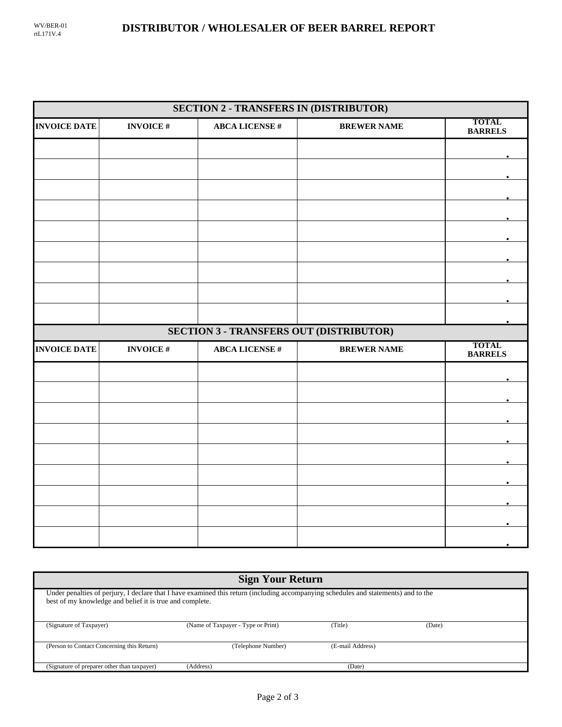| <b>SECTION 2 - TRANSFERS IN (DISTRIBUTOR)</b> |                 |                                                |                    |                                |  |  |
|-----------------------------------------------|-----------------|------------------------------------------------|--------------------|--------------------------------|--|--|
| <b>INVOICE DATE</b>                           | <b>INVOICE#</b> | <b>ABCA LICENSE#</b>                           | <b>BREWER NAME</b> | <b>TOTAL</b><br><b>BARRELS</b> |  |  |
|                                               |                 |                                                |                    |                                |  |  |
|                                               |                 |                                                |                    |                                |  |  |
|                                               |                 |                                                |                    |                                |  |  |
|                                               |                 |                                                |                    |                                |  |  |
|                                               |                 |                                                |                    |                                |  |  |
|                                               |                 |                                                |                    |                                |  |  |
|                                               |                 |                                                |                    |                                |  |  |
|                                               |                 |                                                |                    |                                |  |  |
|                                               |                 |                                                |                    |                                |  |  |
|                                               |                 | <b>SECTION 3 - TRANSFERS OUT (DISTRIBUTOR)</b> |                    |                                |  |  |
| <b>INVOICE DATE</b>                           | <b>INVOICE#</b> | <b>ABCA LICENSE #</b>                          | <b>BREWER NAME</b> | <b>TOTAL</b><br><b>BARRELS</b> |  |  |
|                                               |                 |                                                |                    |                                |  |  |
|                                               |                 |                                                |                    |                                |  |  |
|                                               |                 |                                                |                    |                                |  |  |
|                                               |                 |                                                |                    |                                |  |  |
|                                               |                 |                                                |                    |                                |  |  |
|                                               |                 |                                                |                    |                                |  |  |
|                                               |                 |                                                |                    |                                |  |  |
|                                               |                 |                                                |                    |                                |  |  |
|                                               |                 |                                                |                    |                                |  |  |

| <b>Sign Your Return</b>                                                                                                                                                                         |                                    |                  |        |  |  |  |
|-------------------------------------------------------------------------------------------------------------------------------------------------------------------------------------------------|------------------------------------|------------------|--------|--|--|--|
| Under penalties of perjury, I declare that I have examined this return (including accompanying schedules and statements) and to the<br>best of my knowledge and belief it is true and complete. |                                    |                  |        |  |  |  |
| (Signature of Taxpayer)                                                                                                                                                                         | (Name of Taxpayer - Type or Print) | (Title)          | (Date) |  |  |  |
| (Person to Contact Concerning this Return)                                                                                                                                                      | (Telephone Number)                 | (E-mail Address) |        |  |  |  |
| (Signature of preparer other than taxpayer)                                                                                                                                                     | (Address)                          | (Date)           |        |  |  |  |